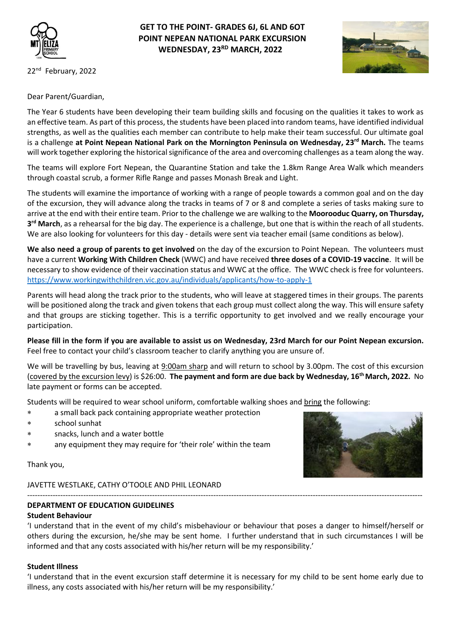

## **GET TO THE POINT- GRADES 6J, 6L AND 6OT POINT NEPEAN NATIONAL PARK EXCURSION WEDNESDAY, 23RD MARCH, 2022**



22<sup>nd</sup> February, 2022

Dear Parent/Guardian,

The Year 6 students have been developing their team building skills and focusing on the qualities it takes to work as an effective team. As part of this process, the students have been placed into random teams, have identified individual strengths, as well as the qualities each member can contribute to help make their team successful. Our ultimate goal is a challenge **at Point Nepean National Park on the Mornington Peninsula on Wednesday, 23rd March.** The teams will work together exploring the historical significance of the area and overcoming challenges as a team along the way.

The teams will explore Fort Nepean, the Quarantine Station and take the 1.8km Range Area Walk which meanders through coastal scrub, a former Rifle Range and passes Monash Break and Light.

The students will examine the importance of working with a range of people towards a common goal and on the day of the excursion, they will advance along the tracks in teams of 7 or 8 and complete a series of tasks making sure to arrive at the end with their entire team. Prior to the challenge we are walking to the **Moorooduc Quarry, on Thursday, 3 rd March**, as a rehearsal for the big day. The experience is a challenge, but one that is within the reach of all students. We are also looking for volunteers for this day - details were sent via teacher email (same conditions as below).

**We also need a group of parents to get involved** on the day of the excursion to Point Nepean. The volunteers must have a current **Working With Children Check** (WWC) and have received **three doses of a COVID-19 vaccine**. It will be necessary to show evidence of their vaccination status and WWC at the office. The WWC check is free for volunteers. <https://www.workingwithchildren.vic.gov.au/individuals/applicants/how-to-apply-1>

Parents will head along the track prior to the students, who will leave at staggered times in their groups. The parents will be positioned along the track and given tokens that each group must collect along the way. This will ensure safety and that groups are sticking together. This is a terrific opportunity to get involved and we really encourage your participation.

**Please fill in the form if you are available to assist us on Wednesday, 23rd March for our Point Nepean excursion.** Feel free to contact your child's classroom teacher to clarify anything you are unsure of.

We will be travelling by bus, leaving at 9:00am sharp and will return to school by 3.00pm. The cost of this excursion (covered by the excursion levy) is \$26:00. **The payment and form are due back by Wednesday, 16th March, 2022.** No late payment or forms can be accepted.

Students will be required to wear school uniform, comfortable walking shoes and bring the following:

- a small back pack containing appropriate weather protection
- school sunhat
- snacks, lunch and a water bottle
- any equipment they may require for 'their role' within the team

Thank you,



#### ----------------------------------------------------------------------------------------------------------------------------------------------------------- **DEPARTMENT OF EDUCATION GUIDELINES Student Behaviour**

'I understand that in the event of my child's misbehaviour or behaviour that poses a danger to himself/herself or others during the excursion, he/she may be sent home. I further understand that in such circumstances I will be informed and that any costs associated with his/her return will be my responsibility.'

#### **Student Illness**

'I understand that in the event excursion staff determine it is necessary for my child to be sent home early due to illness, any costs associated with his/her return will be my responsibility.'